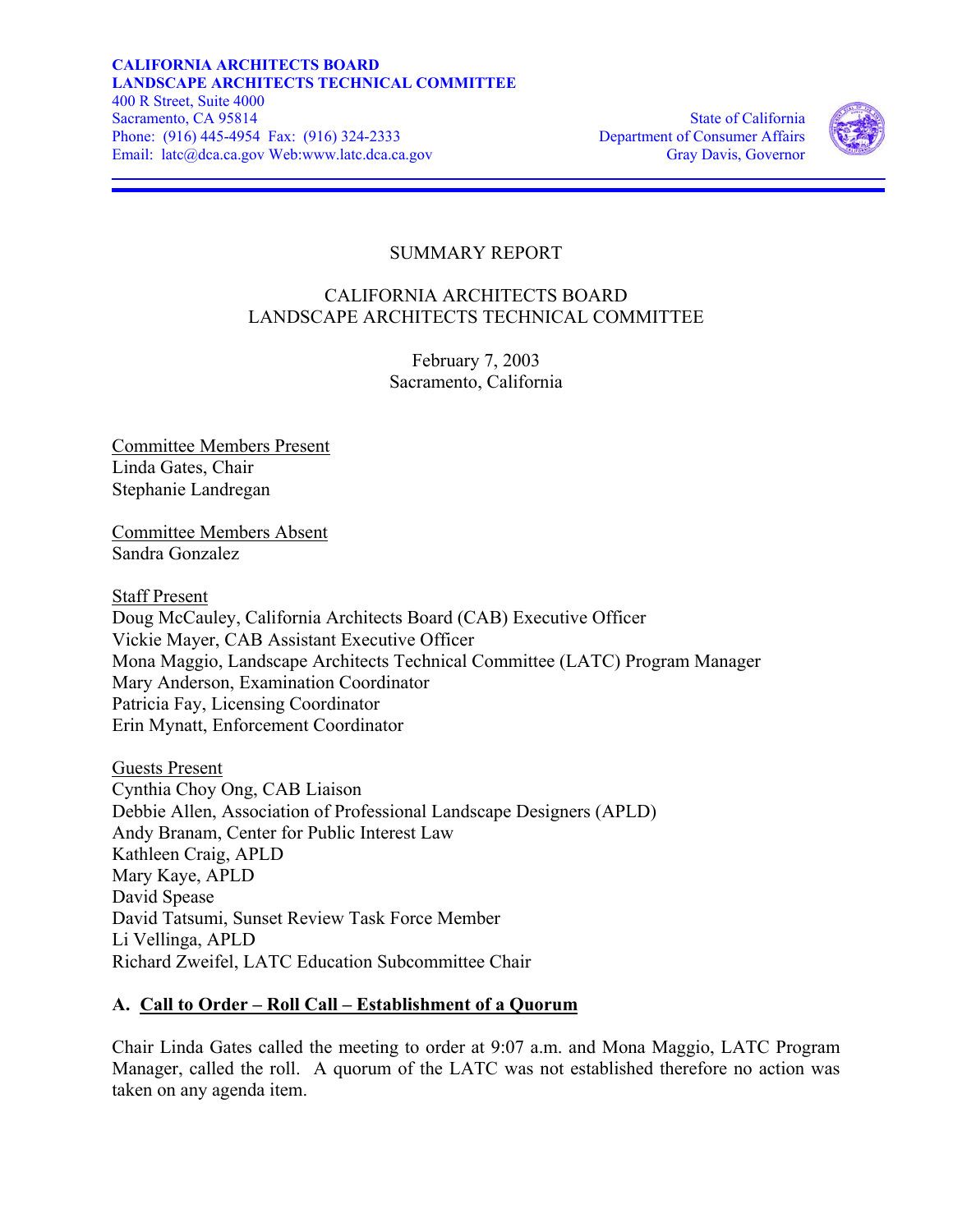

# SUMMARY REPORT

## CALIFORNIA ARCHITECTS BOARD LANDSCAPE ARCHITECTS TECHNICAL COMMITTEE

February 7, 2003 Sacramento, California

Committee Members Present Linda Gates, Chair Stephanie Landregan

Committee Members Absent Sandra Gonzalez

Staff Present Doug McCauley, California Architects Board (CAB) Executive Officer Vickie Mayer, CAB Assistant Executive Officer Mona Maggio, Landscape Architects Technical Committee (LATC) Program Manager Mary Anderson, Examination Coordinator Patricia Fay, Licensing Coordinator Erin Mynatt, Enforcement Coordinator

Guests Present Cynthia Choy Ong, CAB Liaison Debbie Allen, Association of Professional Landscape Designers (APLD) Andy Branam, Center for Public Interest Law Kathleen Craig, APLD Mary Kaye, APLD David Spease David Tatsumi, Sunset Review Task Force Member Li Vellinga, APLD Richard Zweifel, LATC Education Subcommittee Chair

### **A. Call to Order – Roll Call – Establishment of a Quorum**

Chair Linda Gates called the meeting to order at 9:07 a.m. and Mona Maggio, LATC Program Manager, called the roll. A quorum of the LATC was not established therefore no action was taken on any agenda item.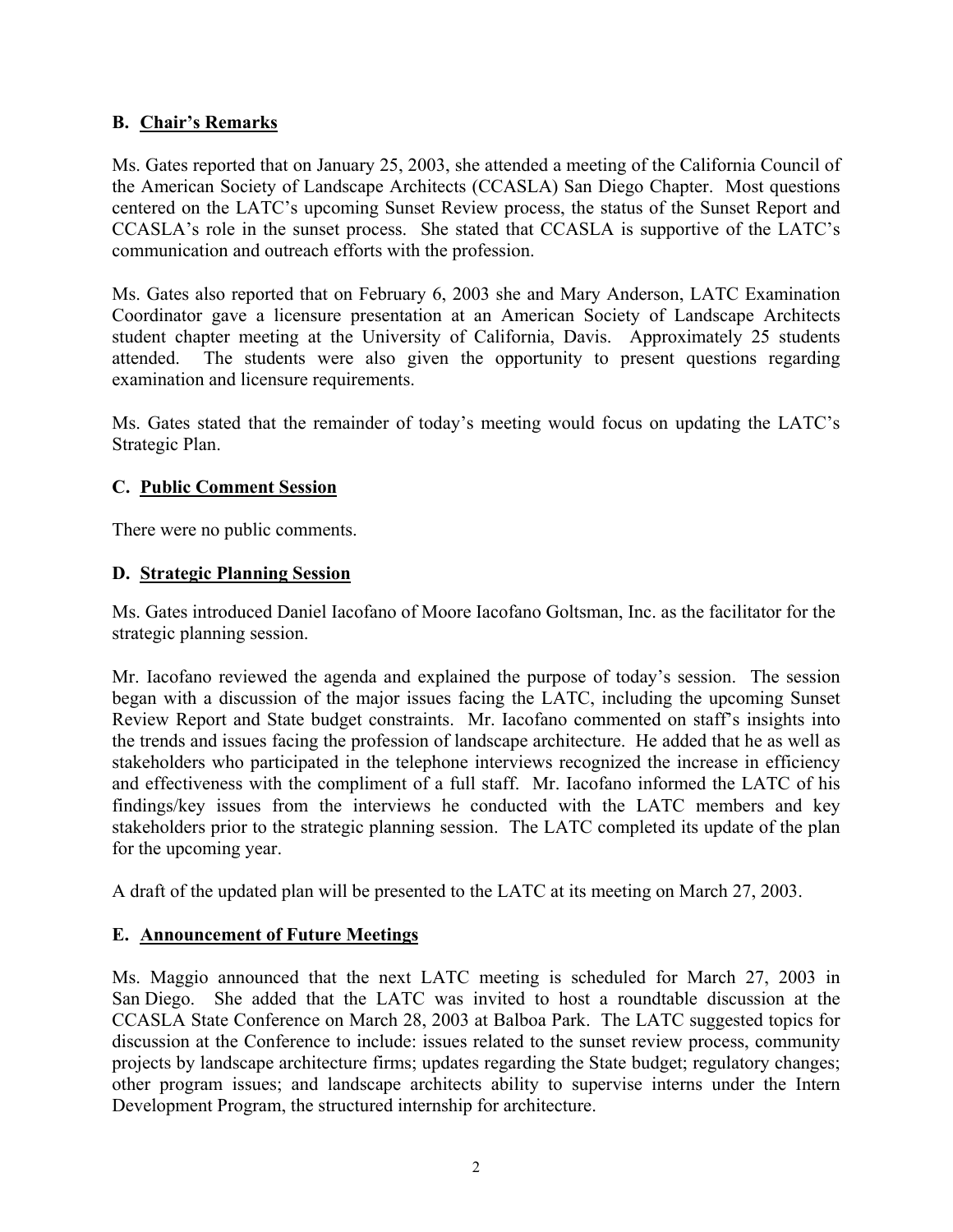### **B. Chair's Remarks**

Ms. Gates reported that on January 25, 2003, she attended a meeting of the California Council of the American Society of Landscape Architects (CCASLA) San Diego Chapter. Most questions centered on the LATC's upcoming Sunset Review process, the status of the Sunset Report and CCASLA's role in the sunset process. She stated that CCASLA is supportive of the LATC's communication and outreach efforts with the profession.

Ms. Gates also reported that on February 6, 2003 she and Mary Anderson, LATC Examination Coordinator gave a licensure presentation at an American Society of Landscape Architects student chapter meeting at the University of California, Davis. Approximately 25 students attended. The students were also given the opportunity to present questions regarding examination and licensure requirements.

Ms. Gates stated that the remainder of today's meeting would focus on updating the LATC's Strategic Plan.

### **C. Public Comment Session**

There were no public comments.

### **D. Strategic Planning Session**

Ms. Gates introduced Daniel Iacofano of Moore Iacofano Goltsman, Inc. as the facilitator for the strategic planning session.

Mr. Iacofano reviewed the agenda and explained the purpose of today's session. The session began with a discussion of the major issues facing the LATC, including the upcoming Sunset Review Report and State budget constraints. Mr. Iacofano commented on staff's insights into the trends and issues facing the profession of landscape architecture. He added that he as well as stakeholders who participated in the telephone interviews recognized the increase in efficiency and effectiveness with the compliment of a full staff. Mr. Iacofano informed the LATC of his findings/key issues from the interviews he conducted with the LATC members and key stakeholders prior to the strategic planning session. The LATC completed its update of the plan for the upcoming year.

A draft of the updated plan will be presented to the LATC at its meeting on March 27, 2003.

### **E. Announcement of Future Meetings**

Ms. Maggio announced that the next LATC meeting is scheduled for March 27, 2003 in San Diego. She added that the LATC was invited to host a roundtable discussion at the CCASLA State Conference on March 28, 2003 at Balboa Park. The LATC suggested topics for discussion at the Conference to include: issues related to the sunset review process, community projects by landscape architecture firms; updates regarding the State budget; regulatory changes; other program issues; and landscape architects ability to supervise interns under the Intern Development Program, the structured internship for architecture.